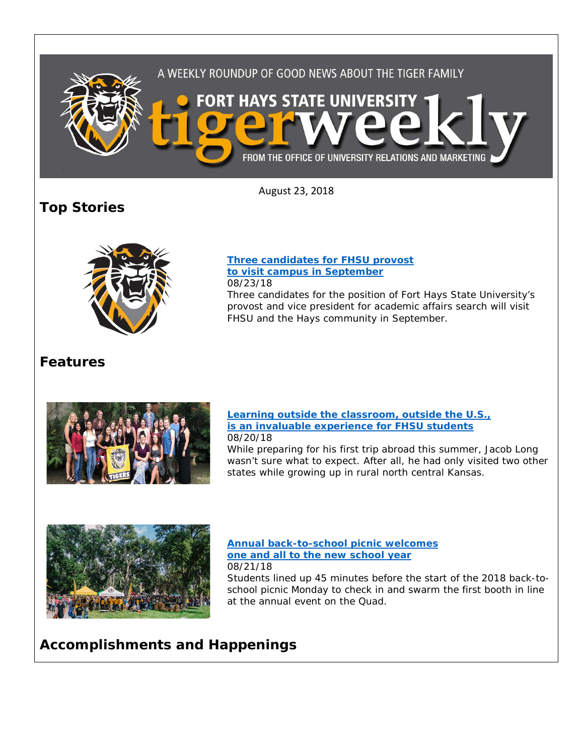

August 23, 2018

# **Top Stories**



### **[Three candidates for FHSU provost](https://www.fhsu.edu/news/2018/08/three-candidates-for-fhsu-provost-to-visit-campus-in-september) [to visit campus in September](https://www.fhsu.edu/news/2018/08/three-candidates-for-fhsu-provost-to-visit-campus-in-september)** 08/23/18

Three candidates for the position of Fort Hays State University's provost and vice president for academic affairs search will visit FHSU and the Hays community in September.

# **Features**



## **[Learning outside the classroom, outside the U.S.,](https://www.fhsu.edu/news/2018/08/learning-outside-the-classroom,-outside-the-u.s.,-is-an-invaluable-experience-for-fhsu-students)  [is an invaluable experience for FHSU students](https://www.fhsu.edu/news/2018/08/learning-outside-the-classroom,-outside-the-u.s.,-is-an-invaluable-experience-for-fhsu-students)** 08/20/18

While preparing for his first trip abroad this summer, Jacob Long wasn't sure what to expect. After all, he had only visited two other states while growing up in rural north central Kansas.



#### **[Annual back-to-school picnic welcomes](https://www.fhsu.edu/news/2018/08/fort-hays-states-annual-back-to-school-picnic-welcomes-one-and-all-to-the-new-school-year)  [one and all to the new school year](https://www.fhsu.edu/news/2018/08/fort-hays-states-annual-back-to-school-picnic-welcomes-one-and-all-to-the-new-school-year)** 08/21/18

Students lined up 45 minutes before the start of the 2018 back-toschool picnic Monday to check in and swarm the first booth in line at the annual event on the Quad.

# **Accomplishments and Happenings**